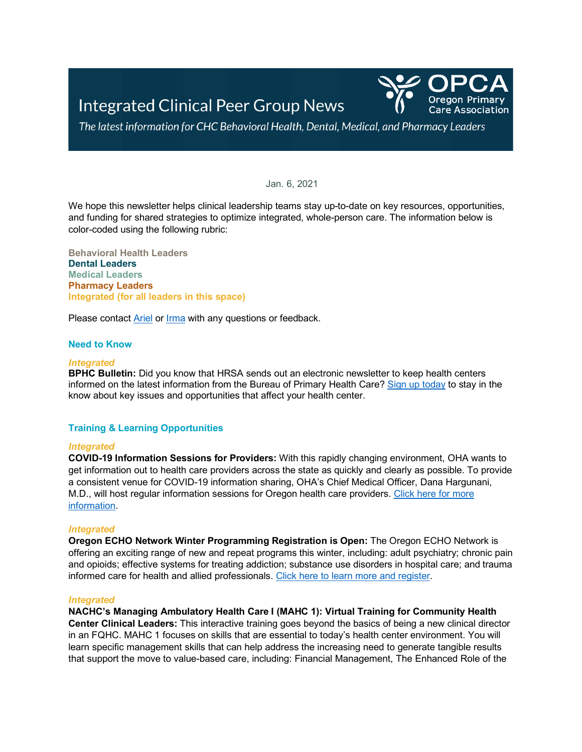

The latest information for CHC Behavioral Health, Dental, Medical, and Pharmacy Leaders

## Jan. 6, 2021

We hope this newsletter helps clinical leadership teams stay up-to-date on key resources, opportunities, and funding for shared strategies to optimize integrated, whole-person care. The information below is color-coded using the following rubric:

**Behavioral Health Leaders Dental Leaders Medical Leaders Pharmacy Leaders Integrated (for all leaders in this space)**

Please contact **Ariel or [Irma](mailto:imurauskas@orpca.org)** with any questions or feedback.

# **Need to Know**

#### *Integrated*

**BPHC Bulletin:** Did you know that HRSA sends out an electronic newsletter to keep health centers informed on the latest information from the Bureau of Primary Health Care? Sign [up today](https://public.govdelivery.com/accounts/USHHSHRSA/subscriber/new?topic_id=ENEWS) to stay in the know about key issues and opportunities that affect your health center.

# **Training & Learning Opportunities**

#### *Integrated*

**COVID-19 Information Sessions for Providers:** With this rapidly changing environment, OHA wants to get information out to health care providers across the state as quickly and clearly as possible. To provide a consistent venue for COVID-19 information sharing, OHA's Chief Medical Officer, Dana Hargunani, M.D., will host regular information sessions for Oregon health care providers. [Click here for more](https://www.oregon.gov/oha/PH/DISEASESCONDITIONS/DISEASESAZ/Pages/COVID-19.aspx)  [information.](https://www.oregon.gov/oha/PH/DISEASESCONDITIONS/DISEASESAZ/Pages/COVID-19.aspx)

# *Integrated*

**Oregon ECHO Network Winter Programming Registration is Open:** The Oregon ECHO Network is offering an exciting range of new and repeat programs this winter, including: adult psychiatry; chronic pain and opioids; effective systems for treating addiction; substance use disorders in hospital care; and trauma informed care for health and allied professionals. [Click here to learn more and register.](https://www.oregon.gov/oha/HPA/dsi-tc/Documents/Winter%202021%20Program%20Guide.pdf)

#### *Integrated*

**NACHC's Managing Ambulatory Health Care I (MAHC 1): Virtual Training for Community Health Center Clinical Leaders:** This interactive training goes beyond the basics of being a new clinical director in an FQHC. MAHC 1 focuses on skills that are essential to today's health center environment. You will learn specific management skills that can help address the increasing need to generate tangible results that support the move to value-based care, including: Financial Management, The Enhanced Role of the